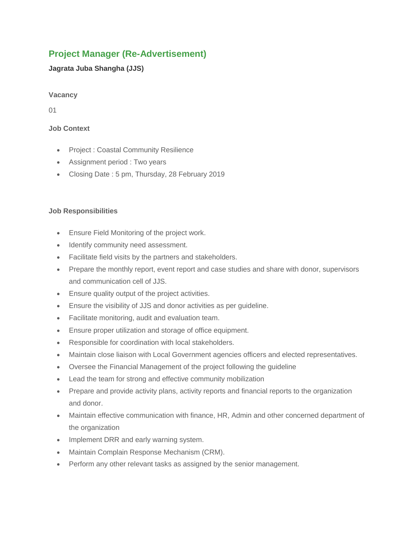# **Project Manager (Re-Advertisement)**

## **Jagrata Juba Shangha (JJS)**

## **Vacancy**

01

# **Job Context**

- Project : Coastal Community Resilience
- Assignment period : Two years
- Closing Date : 5 pm, Thursday, 28 February 2019

## **Job Responsibilities**

- Ensure Field Monitoring of the project work.
- Identify community need assessment.
- Facilitate field visits by the partners and stakeholders.
- Prepare the monthly report, event report and case studies and share with donor, supervisors and communication cell of JJS.
- Ensure quality output of the project activities.
- Ensure the visibility of JJS and donor activities as per guideline.
- Facilitate monitoring, audit and evaluation team.
- Ensure proper utilization and storage of office equipment.
- Responsible for coordination with local stakeholders.
- Maintain close liaison with Local Government agencies officers and elected representatives.
- Oversee the Financial Management of the project following the guideline
- Lead the team for strong and effective community mobilization
- Prepare and provide activity plans, activity reports and financial reports to the organization and donor.
- Maintain effective communication with finance, HR, Admin and other concerned department of the organization
- Implement DRR and early warning system.
- Maintain Complain Response Mechanism (CRM).
- Perform any other relevant tasks as assigned by the senior management.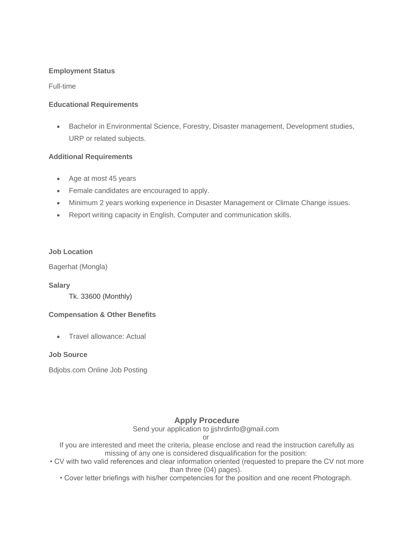#### **Employment Status**

Full-time

#### **Educational Requirements**

• Bachelor in Environmental Science, Forestry, Disaster management, Development studies, URP or related subjects.

### **Additional Requirements**

- Age at most 45 years
- Female candidates are encouraged to apply.
- Minimum 2 years working experience in Disaster Management or Climate Change issues.
- Report writing capacity in English, Computer and communication skills.

#### **Job Location**

Bagerhat (Mongla)

#### **Salary**

Tk. 33600 (Monthly)

### **Compensation & Other Benefits**

• Travel allowance: Actual

#### **Job Source**

Bdjobs.com Online Job Posting

# **Apply Procedure**

Send your application to jjshrdinfo@gmail.com

or

If you are interested and meet the criteria, please enclose and read the instruction carefully as missing of any one is considered disqualification for the position:

- CV with two valid references and clear information oriented (requested to prepare the CV not more than three (04) pages).
	- Cover letter briefings with his/her competencies for the position and one recent Photograph.